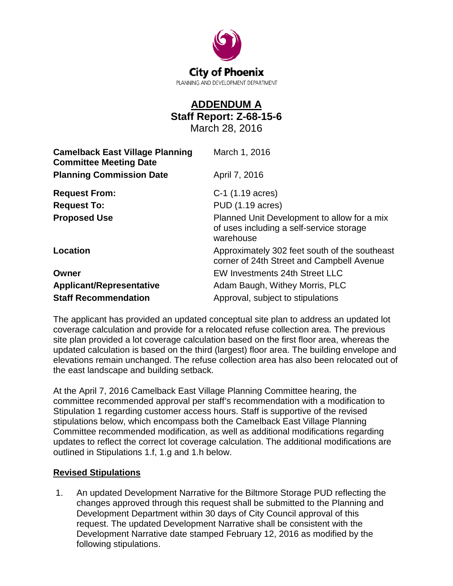

## **ADDENDUM A Staff Report: Z-68-15-6**

March 28, 2016

| <b>Camelback East Village Planning</b><br><b>Committee Meeting Date</b> | March 1, 2016                                                                                        |
|-------------------------------------------------------------------------|------------------------------------------------------------------------------------------------------|
| <b>Planning Commission Date</b>                                         | April 7, 2016                                                                                        |
| <b>Request From:</b>                                                    | C-1 (1.19 acres)                                                                                     |
| <b>Request To:</b>                                                      | PUD (1.19 acres)                                                                                     |
| <b>Proposed Use</b>                                                     | Planned Unit Development to allow for a mix<br>of uses including a self-service storage<br>warehouse |
| Location                                                                | Approximately 302 feet south of the southeast<br>corner of 24th Street and Campbell Avenue           |
| Owner                                                                   | EW Investments 24th Street LLC                                                                       |
| <b>Applicant/Representative</b>                                         | Adam Baugh, Withey Morris, PLC                                                                       |
| <b>Staff Recommendation</b>                                             | Approval, subject to stipulations                                                                    |

The applicant has provided an updated conceptual site plan to address an updated lot coverage calculation and provide for a relocated refuse collection area. The previous site plan provided a lot coverage calculation based on the first floor area, whereas the updated calculation is based on the third (largest) floor area. The building envelope and elevations remain unchanged. The refuse collection area has also been relocated out of the east landscape and building setback.

At the April 7, 2016 Camelback East Village Planning Committee hearing, the committee recommended approval per staff's recommendation with a modification to Stipulation 1 regarding customer access hours. Staff is supportive of the revised stipulations below, which encompass both the Camelback East Village Planning Committee recommended modification, as well as additional modifications regarding updates to reflect the correct lot coverage calculation. The additional modifications are outlined in Stipulations 1.f, 1.g and 1.h below.

## **Revised Stipulations**

1. An updated Development Narrative for the Biltmore Storage PUD reflecting the changes approved through this request shall be submitted to the Planning and Development Department within 30 days of City Council approval of this request. The updated Development Narrative shall be consistent with the Development Narrative date stamped February 12, 2016 as modified by the following stipulations.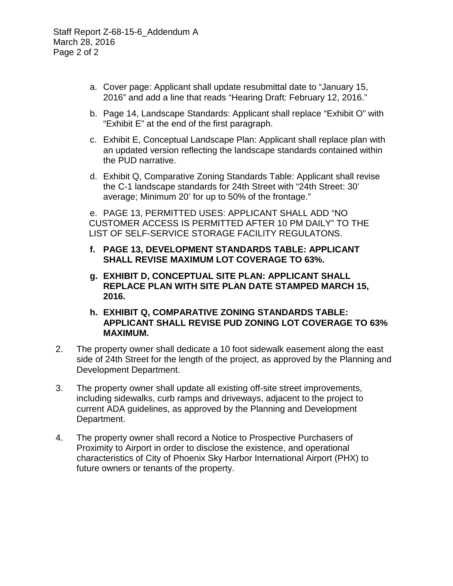- a. Cover page: Applicant shall update resubmittal date to "January 15, 2016" and add a line that reads "Hearing Draft: February 12, 2016."
- b. Page 14, Landscape Standards: Applicant shall replace "Exhibit O" with "Exhibit E" at the end of the first paragraph.
- c. Exhibit E, Conceptual Landscape Plan: Applicant shall replace plan with an updated version reflecting the landscape standards contained within the PUD narrative.
- d. Exhibit Q, Comparative Zoning Standards Table: Applicant shall revise the C-1 landscape standards for 24th Street with "24th Street: 30' average; Minimum 20' for up to 50% of the frontage."

e. PAGE 13, PERMITTED USES: APPLICANT SHALL ADD "NO CUSTOMER ACCESS IS PERMITTED AFTER 10 PM DAILY" TO THE LIST OF SELF-SERVICE STORAGE FACILITY REGULATONS.

- **f. PAGE 13, DEVELOPMENT STANDARDS TABLE: APPLICANT SHALL REVISE MAXIMUM LOT COVERAGE TO 63%.**
- **g. EXHIBIT D, CONCEPTUAL SITE PLAN: APPLICANT SHALL REPLACE PLAN WITH SITE PLAN DATE STAMPED MARCH 15, 2016.**
- **h. EXHIBIT Q, COMPARATIVE ZONING STANDARDS TABLE: APPLICANT SHALL REVISE PUD ZONING LOT COVERAGE TO 63% MAXIMUM.**
- 2. The property owner shall dedicate a 10 foot sidewalk easement along the east side of 24th Street for the length of the project, as approved by the Planning and Development Department.
- 3. The property owner shall update all existing off-site street improvements, including sidewalks, curb ramps and driveways, adjacent to the project to current ADA guidelines, as approved by the Planning and Development Department.
- 4. The property owner shall record a Notice to Prospective Purchasers of Proximity to Airport in order to disclose the existence, and operational characteristics of City of Phoenix Sky Harbor International Airport (PHX) to future owners or tenants of the property.